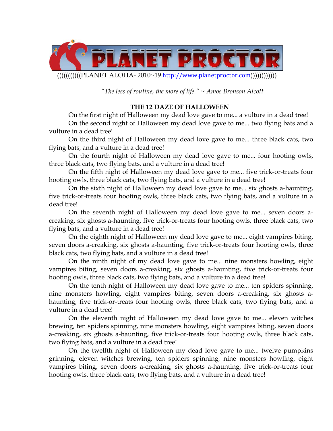

 *"The less of routine, the more of life." ~ Amos Bronson Alcott* 

# **THE 12 DAZE OF HALLOWEEN**

On the first night of Halloween my dead love gave to me... a vulture in a dead tree! On the second night of Halloween my dead love gave to me... two flying bats and a vulture in a dead tree!

On the third night of Halloween my dead love gave to me... three black cats, two flying bats, and a vulture in a dead tree!

On the fourth night of Halloween my dead love gave to me... four hooting owls, three black cats, two flying bats, and a vulture in a dead tree!

On the fifth night of Halloween my dead love gave to me... five trick-or-treats four hooting owls, three black cats, two flying bats, and a vulture in a dead tree!

On the sixth night of Halloween my dead love gave to me... six ghosts a-haunting, five trick-or-treats four hooting owls, three black cats, two flying bats, and a vulture in a dead tree!

On the seventh night of Halloween my dead love gave to me... seven doors acreaking, six ghosts a-haunting, five trick-or-treats four hooting owls, three black cats, two flying bats, and a vulture in a dead tree!

On the eighth night of Halloween my dead love gave to me... eight vampires biting, seven doors a-creaking, six ghosts a-haunting, five trick-or-treats four hooting owls, three black cats, two flying bats, and a vulture in a dead tree!

On the ninth night of my dead love gave to me... nine monsters howling, eight vampires biting, seven doors a-creaking, six ghosts a-haunting, five trick-or-treats four hooting owls, three black cats, two flying bats, and a vulture in a dead tree!

On the tenth night of Halloween my dead love gave to me... ten spiders spinning, nine monsters howling, eight vampires biting, seven doors a-creaking, six ghosts ahaunting, five trick-or-treats four hooting owls, three black cats, two flying bats, and a vulture in a dead tree!

On the eleventh night of Halloween my dead love gave to me... eleven witches brewing, ten spiders spinning, nine monsters howling, eight vampires biting, seven doors a-creaking, six ghosts a-haunting, five trick-or-treats four hooting owls, three black cats, two flying bats, and a vulture in a dead tree!

On the twelfth night of Halloween my dead love gave to me... twelve pumpkins grinning, eleven witches brewing, ten spiders spinning, nine monsters howling, eight vampires biting, seven doors a-creaking, six ghosts a-haunting, five trick-or-treats four hooting owls, three black cats, two flying bats, and a vulture in a dead tree!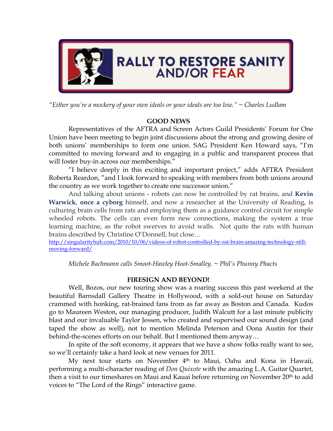

*"Either you're a mockery of your own ideals or your ideals are too low." ~ Charles Ludlam* 

# **GOOD NEWS**

Representatives of the AFTRA and Screen Actors Guild Presidents' Forum for One Union have been meeting to begin joint discussions about the strong and growing desire of both unions' memberships to form one union. SAG President Ken Howard says, "I'm committed to moving forward and to engaging in a public and transparent process that will foster buy-in across our memberships."

"I believe deeply in this exciting and important project," adds AFTRA President Roberta Reardon, "and I look forward to speaking with members from both unions around the country as we work together to create one successor union."

And talking about unions - robots can now be controlled by rat brains, and **Kevin Warwick**, **once a cyborg** himself, and now a researcher at the University of Reading, is culturing brain cells from rats and employing them as a guidance control circuit for simple wheeled robots. The cells can even form new connections, making the system a true learning machine, as the robot swerves to avoid walls. Not quite the rats with human brains described by Christine O'Donnell, but close…

http://singularityhub.com/2010/10/06/videos-of-robot-controlled-by-rat-brain-amazing-technology-stillmoving-forward/

*Michele Bachmann calls Smoot-Hawley Hoot-Smalley. ~ Phil's Phunny Phacts* 

# **FIRESIGN AND BEYOND!**

 Well, Bozos, our new touring show was a roaring success this past weekend at the beautiful Barnsdall Gallery Theatre in Hollywood, with a sold-out house on Saturday crammed with honking, rat-brained fans from as far away as Boston and Canada. Kudos go to Maureen Weston, our managing producer, Judith Walcutt for a last minute publicity blast and our invaluable Taylor Jessen, who created and supervised our sound design (and taped the show as well), not to mention Melinda Peterson and Oona Austin for their behind-the-scenes efforts on our behalf. But I mentioned them anyway…

In spite of the soft economy, it appears that we have a show folks really want to see, so we'll certainly take a hard look at new venues for 2011.

 My next tour starts on November 4th to Maui, Oahu and Kona in Hawaii, performing a multi-character reading of *Don Quixote* with the amazing L.A. Guitar Quartet, then a visit to our timeshares on Maui and Kauai before returning on November 20th to add voices to "The Lord of the Rings" interactive game.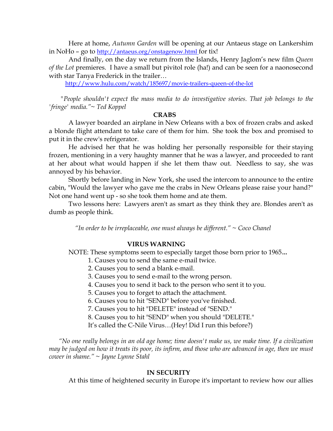Here at home, *Autumn Garden* will be opening at our Antaeus stage on Lankershim in NoHo – go to http://antaeus.org/onstagenow.html for tix!

 And finally, on the day we return from the Islands, Henry Jaglom's new film *Queen of the Lot* premieres. I have a small but pivitol role (ha!) and can be seen for a naonosecond with star Tanya Frederick in the trailer…

http://www.hulu.com/watch/185697/movie-trailers-queen-of-the-lot

 *"People shouldn't expect the mass media to do investigative stories. That job belongs to the 'fringe' media."~ Ted Koppel* 

#### **CRABS**

A lawyer boarded an airplane in New Orleans with a box of frozen crabs and asked a blonde flight attendant to take care of them for him. She took the box and promised to put it in the crew's refrigerator.

He advised her that he was holding her personally responsible for their staying frozen, mentioning in a very haughty manner that he was a lawyer, and proceeded to rant at her about what would happen if she let them thaw out. Needless to say, she was annoyed by his behavior.

Shortly before landing in New York, she used the intercom to announce to the entire cabin, "Would the lawyer who gave me the crabs in New Orleans please raise your hand?" Not one hand went up - so she took them home and ate them.

Two lessons here: Lawyers aren't as smart as they think they are. Blondes aren't as dumb as people think.

 *"In order to be irreplaceable, one must always be different." ~ Coco Chanel* 

#### **VIRUS WARNING**

NOTE: These symptoms seem to especially target those born prior to 1965*…*

- 1. Causes you to send the same e-mail twice.
- 2. Causes you to send a blank e-mail.
- 3. Causes you to send e-mail to the wrong person.
- 4. Causes you to send it back to the person who sent it to you.
- 5. Causes you to forget to attach the attachment.
- 6. Causes you to hit "SEND" before you've finished.
- 7. Causes you to hit "DELETE" instead of "SEND."
- 8. Causes you to hit "SEND" when you should "DELETE."
- It's called the C-Nile Virus…(Hey! Did I run this before?)

 *"No one really belongs in an old age home; time doesn't make us, we make time. If a civilization may be judged on how it treats its poor, its infirm, and those who are advanced in age, then we must cower in shame." ~ Jayne Lynne Stahl* 

#### **IN SECURITY**

At this time of heightened security in Europe it's important to review how our allies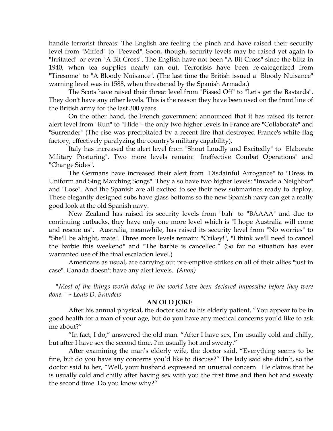handle terrorist threats: The English are feeling the pinch and have raised their security level from "Miffed" to "Peeved". Soon, though, security levels may be raised yet again to "Irritated" or even "A Bit Cross". The English have not been "A Bit Cross" since the blitz in 1940, when tea supplies nearly ran out. Terrorists have been re-categorized from "Tiresome" to "A Bloody Nuisance". (The last time the British issued a "Bloody Nuisance" warning level was in 1588, when threatened by the Spanish Armada.)

The Scots have raised their threat level from "Pissed Off" to "Let's get the Bastards". They don't have any other levels. This is the reason they have been used on the front line of the British army for the last 300 years.

On the other hand, the French government announced that it has raised its terror alert level from "Run" to "Hide"- the only two higher levels in France are "Collaborate" and "Surrender" (The rise was precipitated by a recent fire that destroyed France's white flag factory, effectively paralyzing the country's military capability).

Italy has increased the alert level from "Shout Loudly and Excitedly" to "Elaborate Military Posturing". Two more levels remain: "Ineffective Combat Operations" and "Change Sides".

The Germans have increased their alert from "Disdainful Arrogance" to "Dress in Uniform and Sing Marching Songs". They also have two higher levels: "Invade a Neighbor" and "Lose". And the Spanish are all excited to see their new submarines ready to deploy. These elegantly designed subs have glass bottoms so the new Spanish navy can get a really good look at the old Spanish navy.

New Zealand has raised its security levels from "bah" to "BAAAA" and due to continuing cutbacks, they have only one more level which is "I hope Australia will come and rescue us". Australia, meanwhile, has raised its security level from "No worries" to "She'll be alright, mate". Three more levels remain: "Crikey!", "I think we'll need to cancel the barbie this weekend" and "The barbie is cancelled." (So far no situation has ever warranted use of the final escalation level.)

Americans as usual, are carrying out pre-emptive strikes on all of their allies "just in case". Canada doesn't have any alert levels. *(Anon)*

 *"Most of the things worth doing in the world have been declared impossible before they were done." ~ Louis D. Brandeis* 

## **AN OLD JOKE**

 After his annual physical, the doctor said to his elderly patient, "You appear to be in good health for a man of your age, but do you have any medical concerns you'd like to ask me about?"

 "In fact, I do," answered the old man. "After I have sex, I'm usually cold and chilly, but after I have sex the second time, I'm usually hot and sweaty."

 After examining the man's elderly wife, the doctor said, "Everything seems to be fine, but do you have any concerns you'd like to discuss?" The lady said she didn't, so the doctor said to her, "Well, your husband expressed an unusual concern. He claims that he is usually cold and chilly after having sex with you the first time and then hot and sweaty the second time. Do you know why?"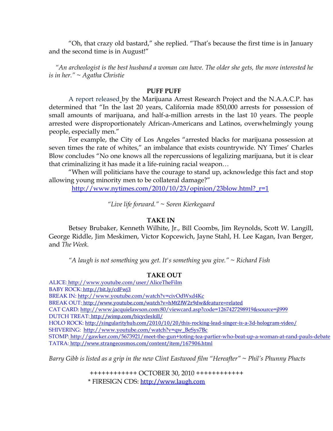"Oh, that crazy old bastard," she replied. "That's because the first time is in January and the second time is in August!"

 *"An archeologist is the best husband a woman can have. The older she gets, the more interested he is in her." ~ Agatha Christie* 

### **PUFF PUFF**

A report released by the Marijuana Arrest Research Project and the N.A.A.C.P. has determined that "In the last 20 years, California made 850,000 arrests for possession of small amounts of marijuana, and half-a-million arrests in the last 10 years. The people arrested were disproportionately African-Americans and Latinos, overwhelmingly young people, especially men."

For example, the City of Los Angeles "arrested blacks for marijuana possession at seven times the rate of whites," an imbalance that exists countrywide. NY Times' Charles Blow concludes "No one knows all the repercussions of legalizing marijuana, but it is clear that criminalizing it has made it a life-ruining racial weapon…

"When will politicians have the courage to stand up, acknowledge this fact and stop allowing young minority men to be collateral damage?"

http://www.nytimes.com/2010/10/23/opinion/23blow.html?\_r=1

*"Live life forward." ~ Soren Kierkegaard* 

### **TAKE IN**

Betsey Brubaker, Kenneth Wilhite, Jr., Bill Coombs, Jim Reynolds, Scott W. Langill, George Riddle, Jim Meskimen, Victor Kopcewich, Jayne Stahl, H. Lee Kagan, Ivan Berger, and *The Week.* 

 *"A laugh is not something you get. It's something you give." ~ Richard Fish* 

## **TAKE OUT**

ALICE: http://www.youtube.com/user/AliceTheFilm BABY ROCK: http://bit.ly/cdFwj3 BREAK IN: http://www.youtube.com/watch?v=civOdWxd4Kc BREAK OUT: http://www.youtube.com/watch?v=hMtZfW2z9dw&feature=related CAT CARD: http://www.jacquielawson.com:80/viewcard.asp?code=1267427298919&source=jl999 DUTCH TREAT: http://wimp.com/bicycleskill/ HOLO ROCK: http://singularityhub.com/2010/10/20/this-rocking-lead-singer-is-a-3d-hologram-video/ SHIVERING: http://www.youtube.com/watch?v=qw\_BeSys7Bc STOMP: http://gawker.com/5673921/meet-the-gun+toting-tea-partier-who-beat-up-a-woman-at-rand-pauls-debate TATRA: http://www.strangecosmos.com/content/item/167906.html

*Barry Gibb is listed as a grip in the new Clint Eastwood film "Hereafter" ~ Phil's Phunny Phacts* 

 ++++++++++++ OCTOBER 30, 2010 ++++++++++++ \* FIRESIGN CDS: http://www.laugh.com